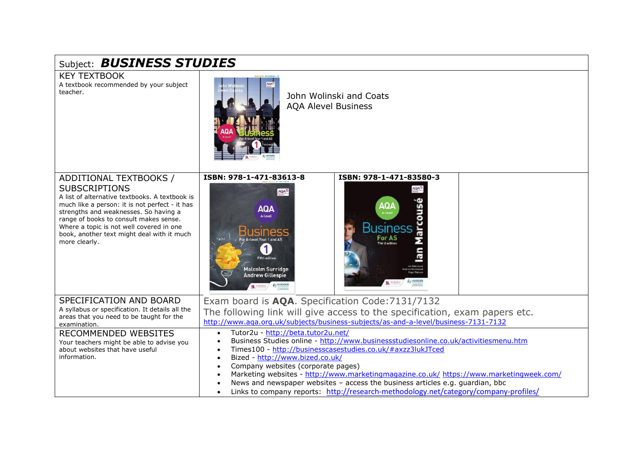| Subject: <b>BUSINESS STUDIES</b>                                                                                                                                                                                                                                                                                                                 |                                                                                                                                                                                                                                                                                                                                                                                                                                                                                                                                                   |
|--------------------------------------------------------------------------------------------------------------------------------------------------------------------------------------------------------------------------------------------------------------------------------------------------------------------------------------------------|---------------------------------------------------------------------------------------------------------------------------------------------------------------------------------------------------------------------------------------------------------------------------------------------------------------------------------------------------------------------------------------------------------------------------------------------------------------------------------------------------------------------------------------------------|
| <b>KEY TEXTBOOK</b><br>A textbook recommended by your subject<br>teacher.                                                                                                                                                                                                                                                                        | John Wolinski and Coats<br><b>AQA Alevel Business</b>                                                                                                                                                                                                                                                                                                                                                                                                                                                                                             |
| ADDITIONAL TEXTBOOKS /<br><b>SUBSCRIPTIONS</b><br>A list of alternative textbooks. A textbook is<br>much like a person: it is not perfect - it has<br>strengths and weaknesses. So having a<br>range of books to consult makes sense.<br>Where a topic is not well covered in one<br>book, another text might deal with it much<br>more clearly. | ISBN: 978-1-471-83613-8<br>ISBN: 978-1-471-83580-3<br>AQAD<br>AQA<br><b>AQA</b><br><b>AQA</b><br>A-level<br><b>Business</b><br><b>Business</b><br>For AS<br>w<br><b>A-level Year 1 and AS</b><br><b>Third edition</b><br><b>Fifth edition</b><br><b>Malcolm Surridge</b><br><b>Andrew Gillespie</b><br>DI STRANIC<br>$\left(7\right)$ HODDER                                                                                                                                                                                                      |
| SPECIFICATION AND BOARD<br>A syllabus or specification. It details all the<br>areas that you need to be taught for the<br>examination.                                                                                                                                                                                                           | Exam board is AQA. Specification Code: 7131/7132<br>The following link will give access to the specification, exam papers etc.<br>http://www.aga.org.uk/subjects/business-subjects/as-and-a-level/business-7131-7132                                                                                                                                                                                                                                                                                                                              |
| RECOMMENDED WEBSITES<br>Your teachers might be able to advise you<br>about websites that have useful<br>information.                                                                                                                                                                                                                             | Tutor2u - http://beta.tutor2u.net/<br>$\bullet$<br>Business Studies online - http://www.businessstudiesonline.co.uk/activitiesmenu.htm<br>Times100 - http://businesscasestudies.co.uk/#axzz3lukJTced<br>Bized - http://www.bized.co.uk/<br>Company websites (corporate pages)<br>Marketing websites - http://www.marketingmagazine.co.uk/ https://www.marketingweek.com/<br>News and newspaper websites - access the business articles e.g. guardian, bbc<br>Links to company reports: http://research-methodology.net/category/company-profiles/ |